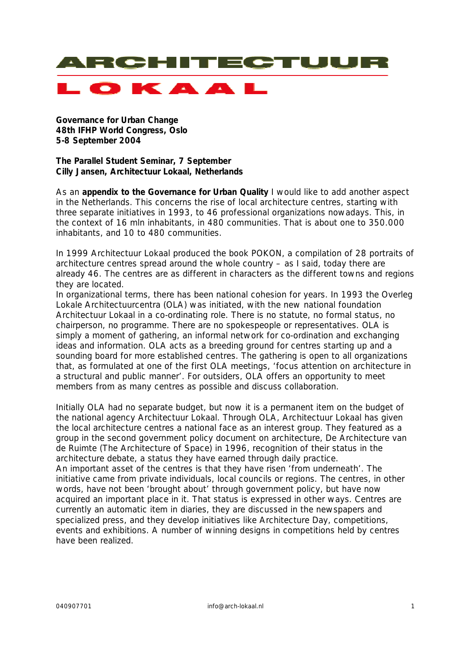

**Governance for Urban Change 48th IFHP World Congress, Oslo 5-8 September 2004**

**The Parallel Student Seminar, 7 September Cilly Jansen, Architectuur Lokaal, Netherlands**

As an **appendix to the Governance for Urban Quality** I would like to add another aspect in the Netherlands. This concerns the rise of local architecture centres, starting with three separate initiatives in 1993, to 46 professional organizations nowadays. This, in the context of 16 mln inhabitants, in 480 communities. That is about one to 350.000 inhabitants, and 10 to 480 communities.

In 1999 Architectuur Lokaal produced the book POKON, a compilation of 28 portraits of architecture centres spread around the whole country – as I said, today there are already 46. The centres are as different in characters as the different towns and regions they are located.

In organizational terms, there has been national cohesion for years. In 1993 the *Overleg Lokale Architectuurcentra (OLA)* was initiated, with the new national foundation Architectuur Lokaal in a co-ordinating role. There is no statute, no formal status, no chairperson, no programme. There are no spokespeople or representatives. OLA is simply a moment of gathering, an informal network for co-ordination and exchanging ideas and information. OLA acts as a breeding ground for centres starting up and a sounding board for more established centres. The gathering is open to all organizations that, as formulated at one of the first OLA meetings, 'focus attention on architecture in a structural and public manner'. For outsiders, OLA offers an opportunity to meet members from as many centres as possible and discuss collaboration.

Initially OLA had no separate budget, but now it is a permanent item on the budget of the national agency Architectuur Lokaal. Through OLA, Architectuur Lokaal has given the local architecture centres a national face as an interest group. They featured as a group in the second government policy document on architecture, *De Architecture van de Ruimte* (The Architecture of Space) in 1996, recognition of their status in the architecture debate, a status they have earned through daily practice. An important asset of the centres is that they have risen 'from underneath'. The initiative came from private individuals, local councils or regions. The centres, in other words, have not been 'brought about' through government policy, but have now acquired an important place in it. That status is expressed in other ways. Centres are currently an automatic item in diaries, they are discussed in the newspapers and specialized press, and they develop initiatives like *Architecture Day*, competitions, events and exhibitions. A number of winning designs in competitions held by centres have been realized.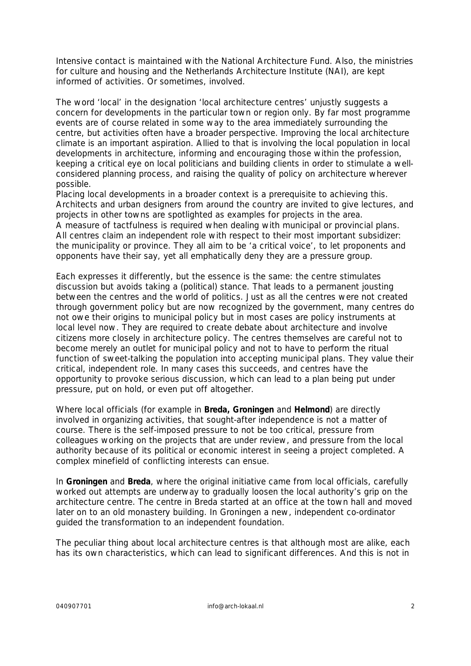Intensive contact is maintained with the National Architecture Fund. Also, the ministries for culture and housing and the Netherlands Architecture Institute (NAI), are kept informed of activities. Or sometimes, involved.

The word 'local' in the designation 'local architecture centres' unjustly suggests a concern for developments in the particular town or region only. By far most programme events are of course related in some way to the area immediately surrounding the centre, but activities often have a broader perspective. Improving the local architecture climate is an important aspiration. Allied to that is involving the local population in local developments in architecture, informing and encouraging those within the profession, keeping a critical eye on local politicians and building clients in order to stimulate a wellconsidered planning process, and raising the quality of policy on architecture wherever possible.

Placing local developments in a broader context is a prerequisite to achieving this. Architects and urban designers from around the country are invited to give lectures, and projects in other towns are spotlighted as examples for projects in the area. A measure of tactfulness is required when dealing with municipal or provincial plans. All centres claim an independent role with respect to their most important subsidizer: the municipality or province. They all aim to be 'a critical voice', to let proponents and opponents have their say, yet all emphatically deny they are a pressure group.

Each expresses it differently, but the essence is the same: the centre stimulates discussion but avoids taking a (political) stance. That leads to a permanent jousting between the centres and the world of politics. Just as all the centres were not created through government policy but are now recognized by the government, many centres do not owe their origins to municipal policy but in most cases are policy instruments at local level now. They are required to create debate about architecture and involve citizens more closely in architecture policy. The centres themselves are careful not to become merely an outlet for municipal policy and not to have to perform the ritual function of sweet-talking the population into accepting municipal plans. They value their critical, independent role. In many cases this succeeds, and centres have the opportunity to provoke serious discussion, which can lead to a plan being put under pressure, put on hold, or even put off altogether.

Where local officials (for example in **Breda, Groningen** and **Helmond**) are directly involved in organizing activities, that sought-after independence is not a matter of course. There is the self-imposed pressure to not be too critical, pressure from colleagues working on the projects that are under review, and pressure from the local authority because of its political or economic interest in seeing a project completed. A complex minefield of conflicting interests can ensue.

In **Groningen** and **Breda**, where the original initiative came from local officials, carefully worked out attempts are underway to gradually loosen the local authority's grip on the architecture centre. The centre in Breda started at an office at the town hall and moved later on to an old monastery building. In Groningen a new, independent co-ordinator guided the transformation to an independent foundation.

The peculiar thing about local architecture centres is that although most are alike, each has its own characteristics, which can lead to significant differences. And this is not in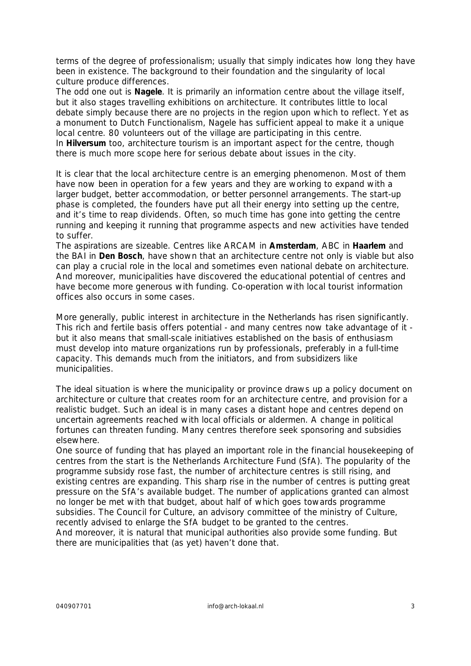terms of the degree of professionalism; usually that simply indicates how long they have been in existence. The background to their foundation and the singularity of local culture produce differences.

The odd one out is **Nagele**. It is primarily an information centre about the village itself, but it also stages travelling exhibitions on architecture. It contributes little to local debate simply because there are no projects in the region upon which to reflect. Yet as a monument to Dutch Functionalism, Nagele has sufficient appeal to make it a unique local centre. 80 volunteers out of the village are participating in this centre. In **Hilversum** too, architecture tourism is an important aspect for the centre, though there is much more scope here for serious debate about issues in the city.

It is clear that the local architecture centre is an emerging phenomenon. Most of them have now been in operation for a few years and they are working to expand with a larger budget, better accommodation, or better personnel arrangements. The start-up phase is completed, the founders have put all their energy into setting up the centre, and it's time to reap dividends. Often, so much time has gone into getting the centre running and keeping it running that programme aspects and new activities have tended to suffer.

The aspirations are sizeable. Centres like ARCAM in **Amsterdam**, ABC in **Haarlem** and the BAI in **Den Bosch**, have shown that an architecture centre not only is viable but also can play a crucial role in the local and sometimes even national debate on architecture. And moreover, municipalities have discovered the educational potential of centres and have become more generous with funding. Co-operation with local tourist information offices also occurs in some cases.

More generally, public interest in architecture in the Netherlands has risen significantly. This rich and fertile basis offers potential - and many centres now take advantage of it but it also means that small-scale initiatives established on the basis of enthusiasm must develop into mature organizations run by professionals, preferably in a full-time capacity. This demands much from the initiators, and from subsidizers like municipalities.

The ideal situation is where the municipality or province draws up a policy document on architecture or culture that creates room for an architecture centre, and provision for a realistic budget. Such an ideal is in many cases a distant hope and centres depend on uncertain agreements reached with local officials or aldermen. A change in political fortunes can threaten funding. Many centres therefore seek sponsoring and subsidies elsewhere.

One source of funding that has played an important role in the financial housekeeping of centres from the start is the Netherlands Architecture Fund (SfA). The popularity of the programme subsidy rose fast, the number of architecture centres is still rising, and existing centres are expanding. This sharp rise in the number of centres is putting great pressure on the SfA's available budget. The number of applications granted can almost no longer be met with that budget, about half of which goes towards programme subsidies. The Council for Culture, an advisory committee of the ministry of Culture, recently advised to enlarge the SfA budget to be granted to the centres. And moreover, it is natural that municipal authorities also provide some funding. But there are municipalities that (as yet) haven't done that.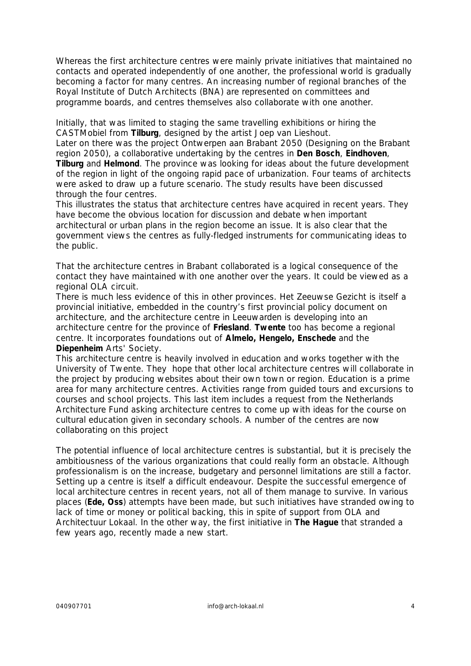Whereas the first architecture centres were mainly private initiatives that maintained no contacts and operated independently of one another, the professional world is gradually becoming a factor for many centres. An increasing number of regional branches of the Royal Institute of Dutch Architects (BNA) are represented on committees and programme boards, and centres themselves also collaborate with one another.

Initially, that was limited to staging the same travelling exhibitions or hiring the CASTMobiel from **Tilburg**, designed by the artist Joep van Lieshout.

Later on there was the project *Ontwerpen aan Brabant 2050* (Designing on the Brabant region 2050), a collaborative undertaking by the centres in **Den Bosch**, **Eindhoven**, **Tilburg** and **Helmond**. The province was looking for ideas about the future development of the region in light of the ongoing rapid pace of urbanization. Four teams of architects were asked to draw up a future scenario. The study results have been discussed through the four centres.

This illustrates the status that architecture centres have acquired in recent years. They have become the obvious location for discussion and debate when important architectural or urban plans in the region become an issue. It is also clear that the government views the centres as fully-fledged instruments for communicating ideas to the public.

That the architecture centres in Brabant collaborated is a logical consequence of the contact they have maintained with one another over the years. It could be viewed as a regional OLA circuit.

There is much less evidence of this in other provinces. Het Zeeuwse Gezicht is itself a provincial initiative, embedded in the country's first provincial policy document on architecture, and the architecture centre in Leeuwarden is developing into an architecture centre for the province of **Friesland**. **Twente** too has become a regional centre. It incorporates foundations out of **Almelo, Hengelo, Enschede** and the **Diepenheim** Arts' Society.

This architecture centre is heavily involved in education and works together with the University of Twente. They hope that other local architecture centres will collaborate in the project by producing websites about their own town or region. Education is a prime area for many architecture centres. Activities range from guided tours and excursions to courses and school projects. This last item includes a request from the Netherlands Architecture Fund asking architecture centres to come up with ideas for the course on cultural education given in secondary schools. A number of the centres are now collaborating on this project

The potential influence of local architecture centres is substantial, but it is precisely the ambitiousness of the various organizations that could really form an obstacle. Although professionalism is on the increase, budgetary and personnel limitations are still a factor. Setting up a centre is itself a difficult endeavour. Despite the successful emergence of local architecture centres in recent years, not all of them manage to survive. In various places (**Ede, Oss**) attempts have been made, but such initiatives have stranded owing to lack of time or money or political backing, this in spite of support from OLA and Architectuur Lokaal. In the other way, the first initiative in **The Hague** that stranded a few years ago, recently made a new start.